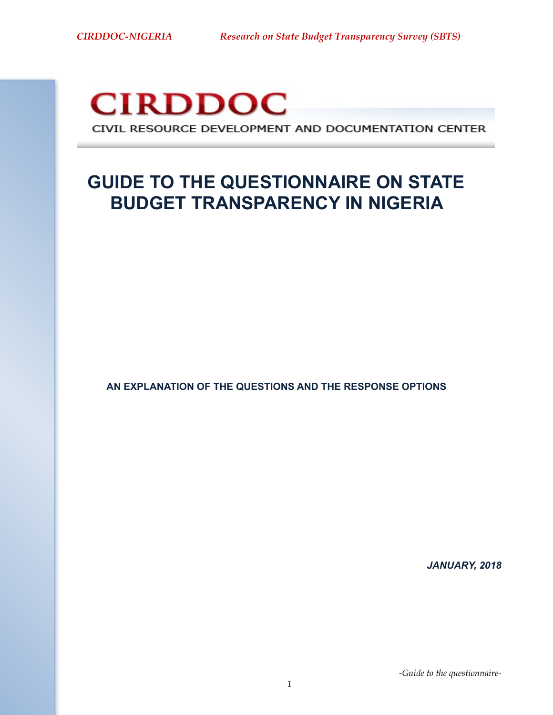# **CIRDDOC**

CIVIL RESOURCE DEVELOPMENT AND DOCUMENTATION CENTER

# **GUIDE TO THE QUESTIONNAIRE ON STATE BUDGET TRANSPARENCY IN NIGERIA**

**AN EXPLANATION OF THE QUESTIONS AND THE RESPONSE OPTIONS** 

*JANUARY, 2018* 

 *-Guide to the questionnaire-*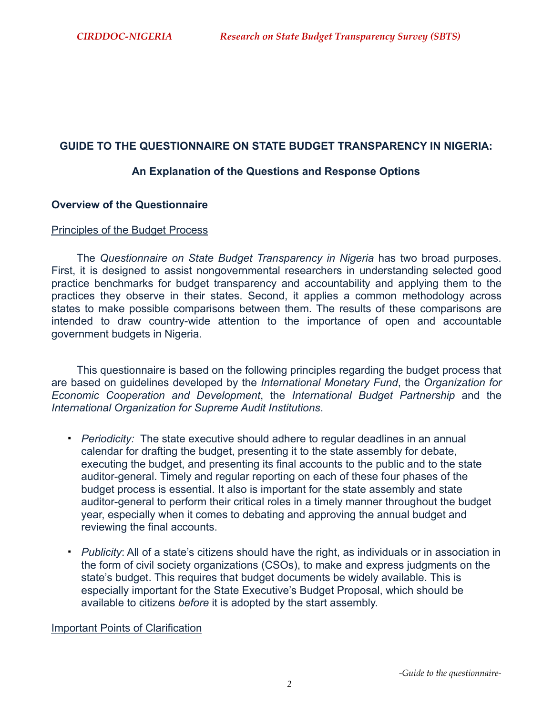# **GUIDE TO THE QUESTIONNAIRE ON STATE BUDGET TRANSPARENCY IN NIGERIA:**

# **An Explanation of the Questions and Response Options**

# **Overview of the Questionnaire**

#### Principles of the Budget Process

The *Questionnaire on State Budget Transparency in Nigeria* has two broad purposes. First, it is designed to assist nongovernmental researchers in understanding selected good practice benchmarks for budget transparency and accountability and applying them to the practices they observe in their states. Second, it applies a common methodology across states to make possible comparisons between them. The results of these comparisons are intended to draw country-wide attention to the importance of open and accountable government budgets in Nigeria.

This questionnaire is based on the following principles regarding the budget process that are based on guidelines developed by the *International Monetary Fund*, the *Organization for Economic Cooperation and Development*, the *International Budget Partnership* and the *International Organization for Supreme Audit Institutions*.

- **•** *Periodicity:* The state executive should adhere to regular deadlines in an annual calendar for drafting the budget, presenting it to the state assembly for debate, executing the budget, and presenting its final accounts to the public and to the state auditor-general. Timely and regular reporting on each of these four phases of the budget process is essential. It also is important for the state assembly and state auditor-general to perform their critical roles in a timely manner throughout the budget year, especially when it comes to debating and approving the annual budget and reviewing the final accounts.
- **•** *Publicity:* All of a state's citizens should have the right, as individuals or in association in the form of civil society organizations (CSOs), to make and express judgments on the state's budget. This requires that budget documents be widely available. This is especially important for the State Executive's Budget Proposal, which should be available to citizens *before* it is adopted by the start assembly.

#### Important Points of Clarification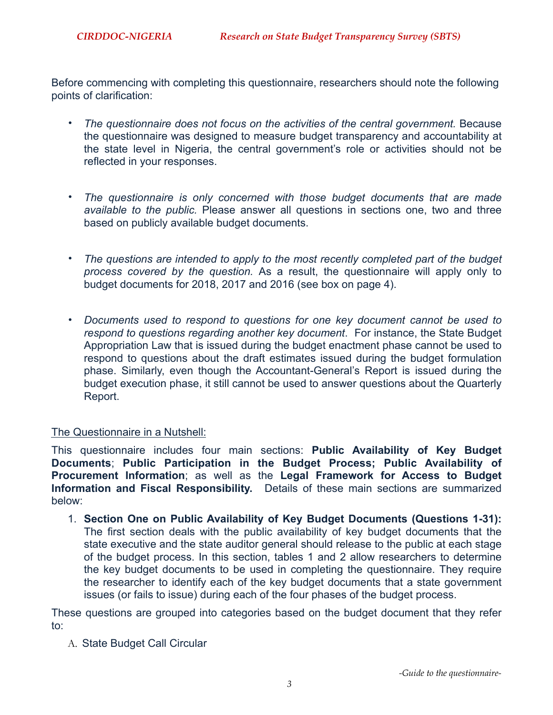Before commencing with completing this questionnaire, researchers should note the following points of clarification:

- *• The questionnaire does not focus on the activities of the central government.* Because the questionnaire was designed to measure budget transparency and accountability at the state level in Nigeria, the central government's role or activities should not be reflected in your responses.
- *• The questionnaire is only concerned with those budget documents that are made available to the public.* Please answer all questions in sections one, two and three based on publicly available budget documents.
- *• The questions are intended to apply to the most recently completed part of the budget process covered by the question.* As a result, the questionnaire will apply only to budget documents for 2018, 2017 and 2016 (see box on page 4).
- *• Documents used to respond to questions for one key document cannot be used to respond to questions regarding another key document*. For instance, the State Budget Appropriation Law that is issued during the budget enactment phase cannot be used to respond to questions about the draft estimates issued during the budget formulation phase. Similarly, even though the Accountant-General's Report is issued during the budget execution phase, it still cannot be used to answer questions about the Quarterly Report.

# The Questionnaire in a Nutshell:

This questionnaire includes four main sections: **Public Availability of Key Budget Documents**; **Public Participation in the Budget Process; Public Availability of Procurement Information**; as well as the **Legal Framework for Access to Budget Information and Fiscal Responsibility.** Details of these main sections are summarized below:

1. **Section One on Public Availability of Key Budget Documents (Questions 1-31):** The first section deals with the public availability of key budget documents that the state executive and the state auditor general should release to the public at each stage of the budget process. In this section, tables 1 and 2 allow researchers to determine the key budget documents to be used in completing the questionnaire. They require the researcher to identify each of the key budget documents that a state government issues (or fails to issue) during each of the four phases of the budget process.

These questions are grouped into categories based on the budget document that they refer to:

A. State Budget Call Circular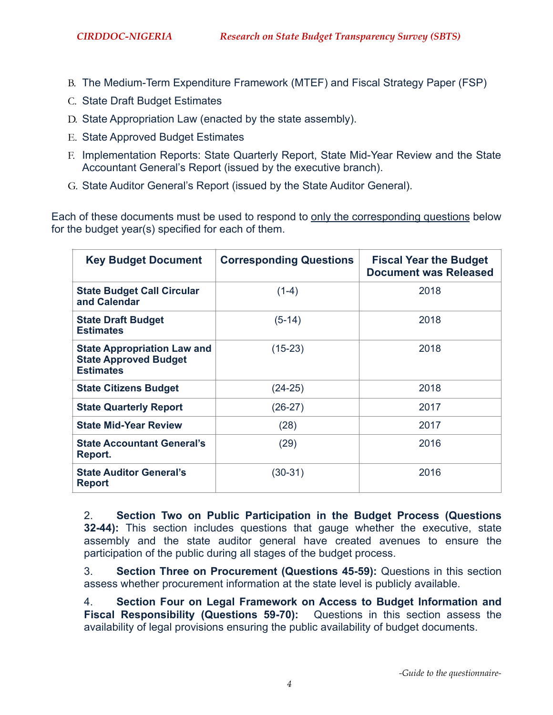- B. The Medium-Term Expenditure Framework (MTEF) and Fiscal Strategy Paper (FSP)
- C. State Draft Budget Estimates
- D. State Appropriation Law (enacted by the state assembly).
- E. State Approved Budget Estimates
- F. Implementation Reports: State Quarterly Report, State Mid-Year Review and the State Accountant General's Report (issued by the executive branch).
- G. State Auditor General's Report (issued by the State Auditor General).

Each of these documents must be used to respond to only the corresponding questions below for the budget year(s) specified for each of them.

| <b>Key Budget Document</b>                                                             | <b>Corresponding Questions</b> | <b>Fiscal Year the Budget</b><br><b>Document was Released</b> |
|----------------------------------------------------------------------------------------|--------------------------------|---------------------------------------------------------------|
| <b>State Budget Call Circular</b><br>and Calendar                                      | $(1-4)$                        | 2018                                                          |
| <b>State Draft Budget</b><br><b>Estimates</b>                                          | $(5-14)$                       | 2018                                                          |
| <b>State Appropriation Law and</b><br><b>State Approved Budget</b><br><b>Estimates</b> | $(15-23)$                      | 2018                                                          |
| <b>State Citizens Budget</b>                                                           | $(24-25)$                      | 2018                                                          |
| <b>State Quarterly Report</b>                                                          | $(26-27)$                      | 2017                                                          |
| <b>State Mid-Year Review</b>                                                           | (28)                           | 2017                                                          |
| <b>State Accountant General's</b><br>Report.                                           | (29)                           | 2016                                                          |
| <b>State Auditor General's</b><br><b>Report</b>                                        | $(30-31)$                      | 2016                                                          |

2. **Section Two on Public Participation in the Budget Process (Questions 32-44):** This section includes questions that gauge whether the executive, state assembly and the state auditor general have created avenues to ensure the participation of the public during all stages of the budget process.

3. **Section Three on Procurement (Questions 45-59):** Questions in this section assess whether procurement information at the state level is publicly available.

4. **Section Four on Legal Framework on Access to Budget Information and Fiscal Responsibility (Questions 59-70):** Questions in this section assess the availability of legal provisions ensuring the public availability of budget documents.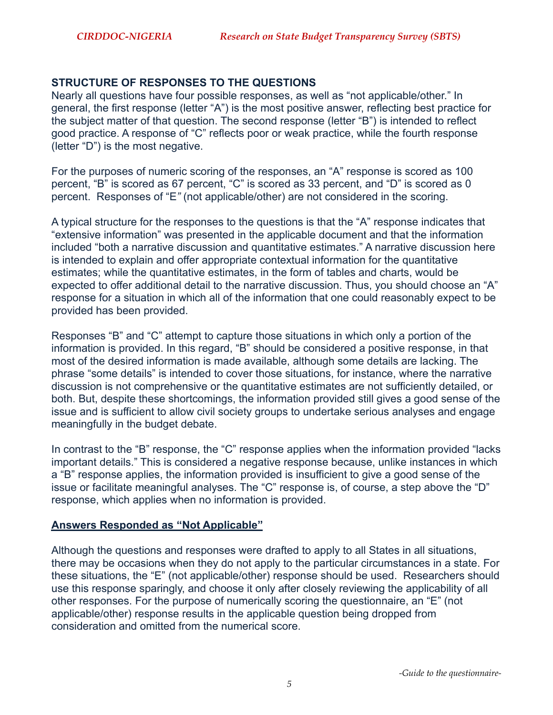# **STRUCTURE OF RESPONSES TO THE QUESTIONS**

Nearly all questions have four possible responses, as well as "not applicable/other." In general, the first response (letter "A") is the most positive answer, reflecting best practice for the subject matter of that question. The second response (letter "B") is intended to reflect good practice. A response of "C" reflects poor or weak practice, while the fourth response (letter "D") is the most negative.

For the purposes of numeric scoring of the responses, an "A" response is scored as 100 percent, "B" is scored as 67 percent, "C" is scored as 33 percent, and "D" is scored as 0 percent. Responses of "E*"* (not applicable/other) are not considered in the scoring.

A typical structure for the responses to the questions is that the "A" response indicates that "extensive information" was presented in the applicable document and that the information included "both a narrative discussion and quantitative estimates." A narrative discussion here is intended to explain and offer appropriate contextual information for the quantitative estimates; while the quantitative estimates, in the form of tables and charts, would be expected to offer additional detail to the narrative discussion. Thus, you should choose an "A" response for a situation in which all of the information that one could reasonably expect to be provided has been provided.

Responses "B" and "C" attempt to capture those situations in which only a portion of the information is provided. In this regard, "B" should be considered a positive response, in that most of the desired information is made available, although some details are lacking. The phrase "some details" is intended to cover those situations, for instance, where the narrative discussion is not comprehensive or the quantitative estimates are not sufficiently detailed, or both. But, despite these shortcomings, the information provided still gives a good sense of the issue and is sufficient to allow civil society groups to undertake serious analyses and engage meaningfully in the budget debate.

In contrast to the "B" response, the "C" response applies when the information provided "lacks important details." This is considered a negative response because, unlike instances in which a "B" response applies, the information provided is insufficient to give a good sense of the issue or facilitate meaningful analyses. The "C" response is, of course, a step above the "D" response, which applies when no information is provided.

# **Answers Responded as "Not Applicable"**

Although the questions and responses were drafted to apply to all States in all situations, there may be occasions when they do not apply to the particular circumstances in a state. For these situations, the "E" (not applicable/other) response should be used. Researchers should use this response sparingly, and choose it only after closely reviewing the applicability of all other responses. For the purpose of numerically scoring the questionnaire, an "E" (not applicable/other) response results in the applicable question being dropped from consideration and omitted from the numerical score.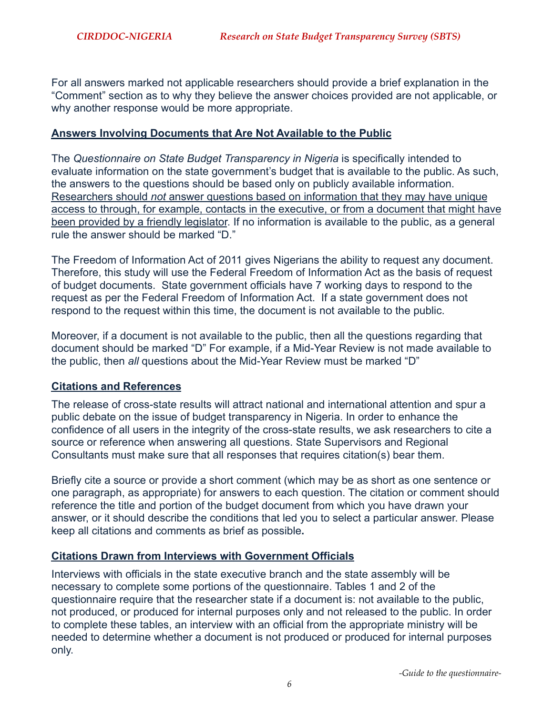For all answers marked not applicable researchers should provide a brief explanation in the "Comment" section as to why they believe the answer choices provided are not applicable, or why another response would be more appropriate.

# **Answers Involving Documents that Are Not Available to the Public**

The *Questionnaire on State Budget Transparency in Nigeria* is specifically intended to evaluate information on the state government's budget that is available to the public. As such, the answers to the questions should be based only on publicly available information. Researchers should *not* answer questions based on information that they may have unique access to through, for example, contacts in the executive, or from a document that might have been provided by a friendly legislator. If no information is available to the public, as a general rule the answer should be marked "D."

The Freedom of Information Act of 2011 gives Nigerians the ability to request any document. Therefore, this study will use the Federal Freedom of Information Act as the basis of request of budget documents. State government officials have 7 working days to respond to the request as per the Federal Freedom of Information Act. If a state government does not respond to the request within this time, the document is not available to the public.

Moreover, if a document is not available to the public, then all the questions regarding that document should be marked "D" For example, if a Mid-Year Review is not made available to the public, then *all* questions about the Mid-Year Review must be marked "D"

# **Citations and References**

The release of cross-state results will attract national and international attention and spur a public debate on the issue of budget transparency in Nigeria. In order to enhance the confidence of all users in the integrity of the cross-state results, we ask researchers to cite a source or reference when answering all questions. State Supervisors and Regional Consultants must make sure that all responses that requires citation(s) bear them.

Briefly cite a source or provide a short comment (which may be as short as one sentence or one paragraph, as appropriate) for answers to each question. The citation or comment should reference the title and portion of the budget document from which you have drawn your answer, or it should describe the conditions that led you to select a particular answer. Please keep all citations and comments as brief as possible**.**

# **Citations Drawn from Interviews with Government Officials**

Interviews with officials in the state executive branch and the state assembly will be necessary to complete some portions of the questionnaire. Tables 1 and 2 of the questionnaire require that the researcher state if a document is: not available to the public, not produced, or produced for internal purposes only and not released to the public. In order to complete these tables, an interview with an official from the appropriate ministry will be needed to determine whether a document is not produced or produced for internal purposes only.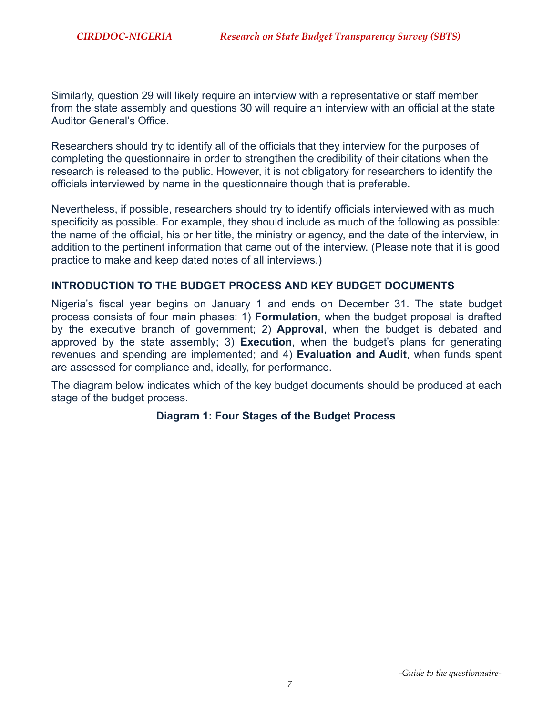Similarly, question 29 will likely require an interview with a representative or staff member from the state assembly and questions 30 will require an interview with an official at the state Auditor General's Office.

Researchers should try to identify all of the officials that they interview for the purposes of completing the questionnaire in order to strengthen the credibility of their citations when the research is released to the public. However, it is not obligatory for researchers to identify the officials interviewed by name in the questionnaire though that is preferable.

Nevertheless, if possible, researchers should try to identify officials interviewed with as much specificity as possible. For example, they should include as much of the following as possible: the name of the official, his or her title, the ministry or agency, and the date of the interview, in addition to the pertinent information that came out of the interview. (Please note that it is good practice to make and keep dated notes of all interviews.)

# **INTRODUCTION TO THE BUDGET PROCESS AND KEY BUDGET DOCUMENTS**

Nigeria's fiscal year begins on January 1 and ends on December 31. The state budget process consists of four main phases: 1) **Formulation**, when the budget proposal is drafted by the executive branch of government; 2) **Approval**, when the budget is debated and approved by the state assembly; 3) **Execution**, when the budget's plans for generating revenues and spending are implemented; and 4) **Evaluation and Audit**, when funds spent are assessed for compliance and, ideally, for performance.

The diagram below indicates which of the key budget documents should be produced at each stage of the budget process.

# **Diagram 1: Four Stages of the Budget Process**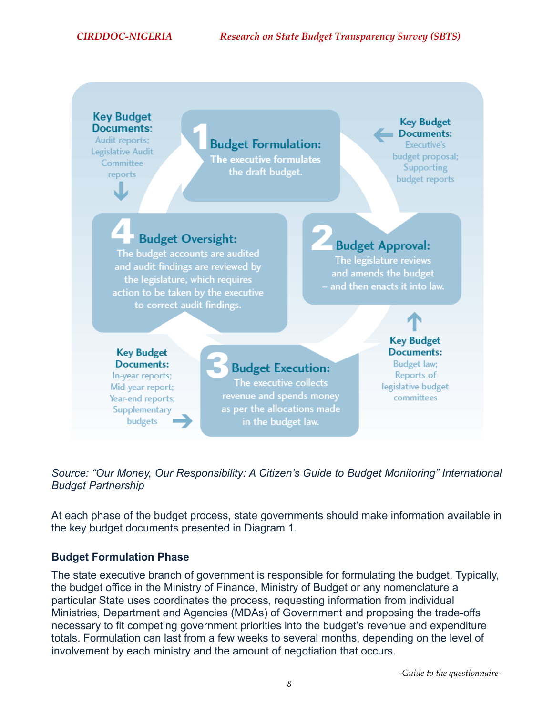

*Source: "Our Money, Our Responsibility: A Citizen's Guide to Budget Monitoring" International Budget Partnership* 

At each phase of the budget process, state governments should make information available in the key budget documents presented in Diagram 1.

# **Budget Formulation Phase**

The state executive branch of government is responsible for formulating the budget. Typically, the budget office in the Ministry of Finance, Ministry of Budget or any nomenclature a particular State uses coordinates the process, requesting information from individual Ministries, Department and Agencies (MDAs) of Government and proposing the trade-offs necessary to fit competing government priorities into the budget's revenue and expenditure totals. Formulation can last from a few weeks to several months, depending on the level of involvement by each ministry and the amount of negotiation that occurs.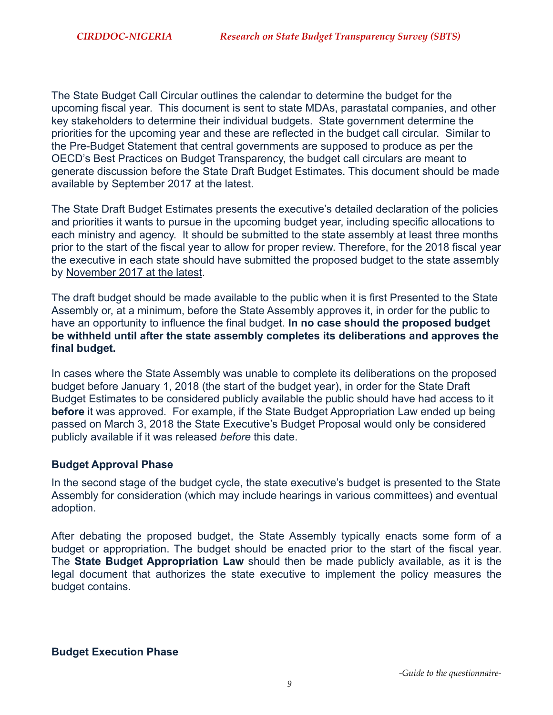The State Budget Call Circular outlines the calendar to determine the budget for the upcoming fiscal year. This document is sent to state MDAs, parastatal companies, and other key stakeholders to determine their individual budgets. State government determine the priorities for the upcoming year and these are reflected in the budget call circular. Similar to the Pre-Budget Statement that central governments are supposed to produce as per the OECD's Best Practices on Budget Transparency, the budget call circulars are meant to generate discussion before the State Draft Budget Estimates. This document should be made available by September 2017 at the latest.

The State Draft Budget Estimates presents the executive's detailed declaration of the policies and priorities it wants to pursue in the upcoming budget year, including specific allocations to each ministry and agency. It should be submitted to the state assembly at least three months prior to the start of the fiscal year to allow for proper review. Therefore, for the 2018 fiscal year the executive in each state should have submitted the proposed budget to the state assembly by November 2017 at the latest.

The draft budget should be made available to the public when it is first Presented to the State Assembly or, at a minimum, before the State Assembly approves it, in order for the public to have an opportunity to influence the final budget. **In no case should the proposed budget be withheld until after the state assembly completes its deliberations and approves the final budget.** 

In cases where the State Assembly was unable to complete its deliberations on the proposed budget before January 1, 2018 (the start of the budget year), in order for the State Draft Budget Estimates to be considered publicly available the public should have had access to it **before** it was approved. For example, if the State Budget Appropriation Law ended up being passed on March 3, 2018 the State Executive's Budget Proposal would only be considered publicly available if it was released *before* this date.

# **Budget Approval Phase**

In the second stage of the budget cycle, the state executive's budget is presented to the State Assembly for consideration (which may include hearings in various committees) and eventual adoption.

After debating the proposed budget, the State Assembly typically enacts some form of a budget or appropriation. The budget should be enacted prior to the start of the fiscal year. The **State Budget Appropriation Law** should then be made publicly available, as it is the legal document that authorizes the state executive to implement the policy measures the budget contains.

# **Budget Execution Phase**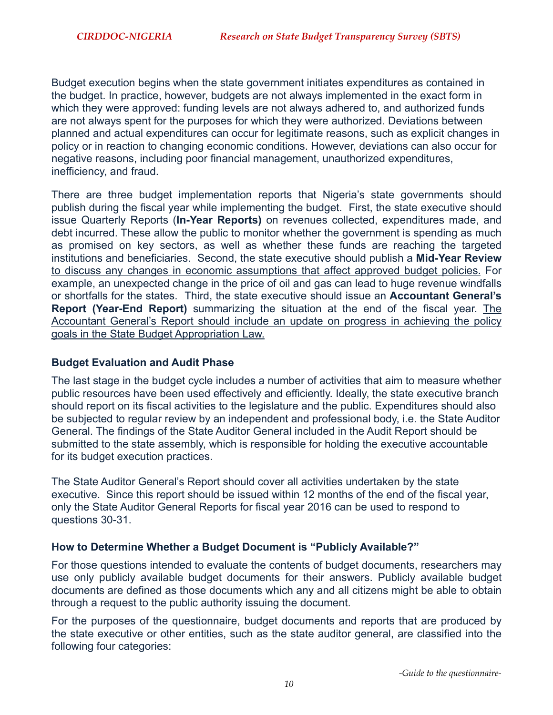Budget execution begins when the state government initiates expenditures as contained in the budget. In practice, however, budgets are not always implemented in the exact form in which they were approved: funding levels are not always adhered to, and authorized funds are not always spent for the purposes for which they were authorized. Deviations between planned and actual expenditures can occur for legitimate reasons, such as explicit changes in policy or in reaction to changing economic conditions. However, deviations can also occur for negative reasons, including poor financial management, unauthorized expenditures, inefficiency, and fraud.

There are three budget implementation reports that Nigeria's state governments should publish during the fiscal year while implementing the budget. First, the state executive should issue Quarterly Reports (**In-Year Reports)** on revenues collected, expenditures made, and debt incurred. These allow the public to monitor whether the government is spending as much as promised on key sectors, as well as whether these funds are reaching the targeted institutions and beneficiaries. Second, the state executive should publish a **Mid-Year Review** to discuss any changes in economic assumptions that affect approved budget policies. For example, an unexpected change in the price of oil and gas can lead to huge revenue windfalls or shortfalls for the states. Third, the state executive should issue an **Accountant General's Report (Year-End Report)** summarizing the situation at the end of the fiscal year. The Accountant General's Report should include an update on progress in achieving the policy goals in the State Budget Appropriation Law.

# **Budget Evaluation and Audit Phase**

The last stage in the budget cycle includes a number of activities that aim to measure whether public resources have been used effectively and efficiently. Ideally, the state executive branch should report on its fiscal activities to the legislature and the public. Expenditures should also be subjected to regular review by an independent and professional body, i.e. the State Auditor General. The findings of the State Auditor General included in the Audit Report should be submitted to the state assembly, which is responsible for holding the executive accountable for its budget execution practices.

The State Auditor General's Report should cover all activities undertaken by the state executive. Since this report should be issued within 12 months of the end of the fiscal year, only the State Auditor General Reports for fiscal year 2016 can be used to respond to questions 30-31.

# **How to Determine Whether a Budget Document is "Publicly Available?"**

For those questions intended to evaluate the contents of budget documents, researchers may use only publicly available budget documents for their answers. Publicly available budget documents are defined as those documents which any and all citizens might be able to obtain through a request to the public authority issuing the document.

For the purposes of the questionnaire, budget documents and reports that are produced by the state executive or other entities, such as the state auditor general, are classified into the following four categories: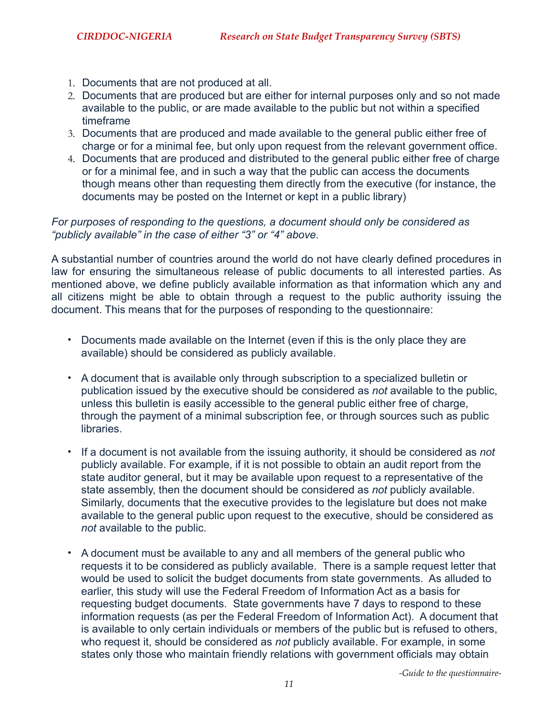- 1. Documents that are not produced at all.
- 2. Documents that are produced but are either for internal purposes only and so not made available to the public, or are made available to the public but not within a specified timeframe
- 3. Documents that are produced and made available to the general public either free of charge or for a minimal fee, but only upon request from the relevant government office.
- 4. Documents that are produced and distributed to the general public either free of charge or for a minimal fee, and in such a way that the public can access the documents though means other than requesting them directly from the executive (for instance, the documents may be posted on the Internet or kept in a public library)

# *For purposes of responding to the questions, a document should only be considered as "publicly available" in the case of either "3" or "4" above.*

A substantial number of countries around the world do not have clearly defined procedures in law for ensuring the simultaneous release of public documents to all interested parties. As mentioned above, we define publicly available information as that information which any and all citizens might be able to obtain through a request to the public authority issuing the document. This means that for the purposes of responding to the questionnaire:

- Documents made available on the Internet (even if this is the only place they are available) should be considered as publicly available.
- A document that is available only through subscription to a specialized bulletin or publication issued by the executive should be considered as *not* available to the public, unless this bulletin is easily accessible to the general public either free of charge, through the payment of a minimal subscription fee, or through sources such as public libraries.
- If a document is not available from the issuing authority, it should be considered as *not*  publicly available. For example, if it is not possible to obtain an audit report from the state auditor general, but it may be available upon request to a representative of the state assembly, then the document should be considered as *not* publicly available. Similarly, documents that the executive provides to the legislature but does not make available to the general public upon request to the executive, should be considered as *not* available to the public.
- A document must be available to any and all members of the general public who requests it to be considered as publicly available. There is a sample request letter that would be used to solicit the budget documents from state governments. As alluded to earlier, this study will use the Federal Freedom of Information Act as a basis for requesting budget documents. State governments have 7 days to respond to these information requests (as per the Federal Freedom of Information Act). A document that is available to only certain individuals or members of the public but is refused to others, who request it, should be considered as *not* publicly available. For example, in some states only those who maintain friendly relations with government officials may obtain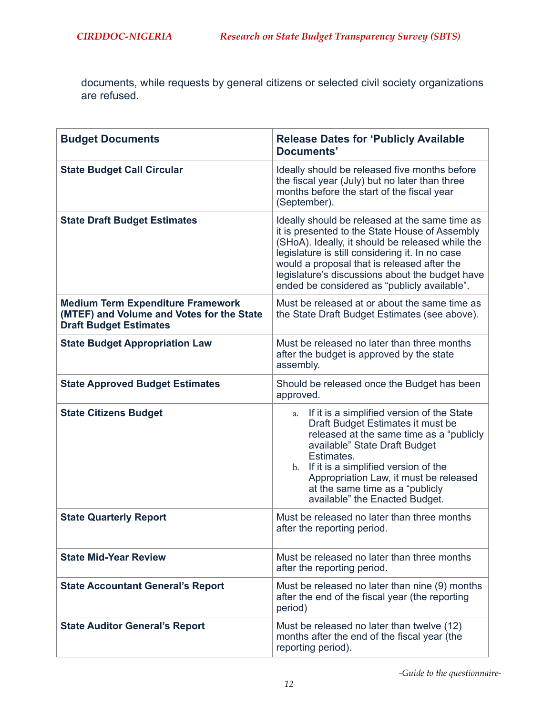documents, while requests by general citizens or selected civil society organizations are refused.

| <b>Budget Documents</b>                                                                                                | <b>Release Dates for 'Publicly Available</b><br>Documents'                                                                                                                                                                                                                                                                                                |
|------------------------------------------------------------------------------------------------------------------------|-----------------------------------------------------------------------------------------------------------------------------------------------------------------------------------------------------------------------------------------------------------------------------------------------------------------------------------------------------------|
| <b>State Budget Call Circular</b>                                                                                      | Ideally should be released five months before<br>the fiscal year (July) but no later than three<br>months before the start of the fiscal year<br>(September).                                                                                                                                                                                             |
| <b>State Draft Budget Estimates</b>                                                                                    | Ideally should be released at the same time as<br>it is presented to the State House of Assembly<br>(SHoA). Ideally, it should be released while the<br>legislature is still considering it. In no case<br>would a proposal that is released after the<br>legislature's discussions about the budget have<br>ended be considered as "publicly available". |
| <b>Medium Term Expenditure Framework</b><br>(MTEF) and Volume and Votes for the State<br><b>Draft Budget Estimates</b> | Must be released at or about the same time as<br>the State Draft Budget Estimates (see above).                                                                                                                                                                                                                                                            |
| <b>State Budget Appropriation Law</b>                                                                                  | Must be released no later than three months<br>after the budget is approved by the state<br>assembly.                                                                                                                                                                                                                                                     |
| <b>State Approved Budget Estimates</b>                                                                                 | Should be released once the Budget has been<br>approved.                                                                                                                                                                                                                                                                                                  |
| <b>State Citizens Budget</b>                                                                                           | If it is a simplified version of the State<br>a.<br>Draft Budget Estimates it must be<br>released at the same time as a "publicly"<br>available" State Draft Budget<br>Estimates.<br>b. If it is a simplified version of the<br>Appropriation Law, it must be released<br>at the same time as a "publicly<br>available" the Enacted Budget.               |
| <b>State Quarterly Report</b>                                                                                          | Must be released no later than three months<br>after the reporting period.                                                                                                                                                                                                                                                                                |
| <b>State Mid-Year Review</b>                                                                                           | Must be released no later than three months<br>after the reporting period.                                                                                                                                                                                                                                                                                |
| <b>State Accountant General's Report</b>                                                                               | Must be released no later than nine (9) months<br>after the end of the fiscal year (the reporting<br>period)                                                                                                                                                                                                                                              |
| <b>State Auditor General's Report</b>                                                                                  | Must be released no later than twelve (12)<br>months after the end of the fiscal year (the<br>reporting period).                                                                                                                                                                                                                                          |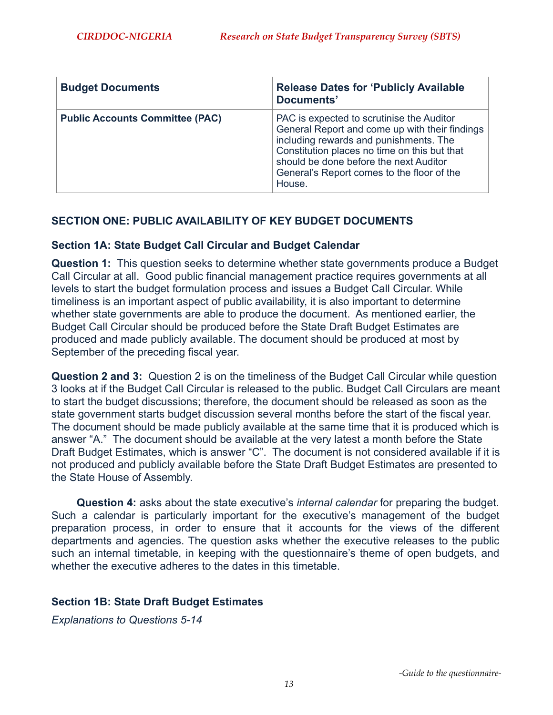| <b>Budget Documents</b>                | <b>Release Dates for 'Publicly Available</b><br>Documents'                                                                                                                                                                                                                              |
|----------------------------------------|-----------------------------------------------------------------------------------------------------------------------------------------------------------------------------------------------------------------------------------------------------------------------------------------|
| <b>Public Accounts Committee (PAC)</b> | PAC is expected to scrutinise the Auditor<br>General Report and come up with their findings<br>including rewards and punishments. The<br>Constitution places no time on this but that<br>should be done before the next Auditor<br>General's Report comes to the floor of the<br>House. |

# **SECTION ONE: PUBLIC AVAILABILITY OF KEY BUDGET DOCUMENTS**

# **Section 1A: State Budget Call Circular and Budget Calendar**

**Question 1:** This question seeks to determine whether state governments produce a Budget Call Circular at all. Good public financial management practice requires governments at all levels to start the budget formulation process and issues a Budget Call Circular. While timeliness is an important aspect of public availability, it is also important to determine whether state governments are able to produce the document. As mentioned earlier, the Budget Call Circular should be produced before the State Draft Budget Estimates are produced and made publicly available. The document should be produced at most by September of the preceding fiscal year.

**Question 2 and 3:** Question 2 is on the timeliness of the Budget Call Circular while question 3 looks at if the Budget Call Circular is released to the public. Budget Call Circulars are meant to start the budget discussions; therefore, the document should be released as soon as the state government starts budget discussion several months before the start of the fiscal year. The document should be made publicly available at the same time that it is produced which is answer "A." The document should be available at the very latest a month before the State Draft Budget Estimates, which is answer "C". The document is not considered available if it is not produced and publicly available before the State Draft Budget Estimates are presented to the State House of Assembly.

**Question 4:** asks about the state executive's *internal calendar* for preparing the budget. Such a calendar is particularly important for the executive's management of the budget preparation process, in order to ensure that it accounts for the views of the different departments and agencies. The question asks whether the executive releases to the public such an internal timetable, in keeping with the questionnaire's theme of open budgets, and whether the executive adheres to the dates in this timetable.

# **Section 1B: State Draft Budget Estimates**

*Explanations to Questions 5-14*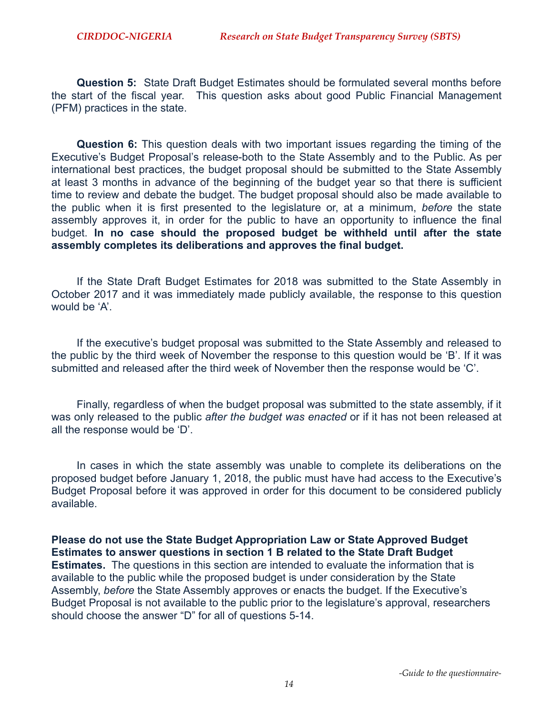**Question 5:** State Draft Budget Estimates should be formulated several months before the start of the fiscal year. This question asks about good Public Financial Management (PFM) practices in the state.

**Question 6:** This question deals with two important issues regarding the timing of the Executive's Budget Proposal's release-both to the State Assembly and to the Public. As per international best practices, the budget proposal should be submitted to the State Assembly at least 3 months in advance of the beginning of the budget year so that there is sufficient time to review and debate the budget. The budget proposal should also be made available to the public when it is first presented to the legislature or, at a minimum, *before* the state assembly approves it, in order for the public to have an opportunity to influence the final budget. **In no case should the proposed budget be withheld until after the state assembly completes its deliberations and approves the final budget.** 

If the State Draft Budget Estimates for 2018 was submitted to the State Assembly in October 2017 and it was immediately made publicly available, the response to this question would be 'A'.

If the executive's budget proposal was submitted to the State Assembly and released to the public by the third week of November the response to this question would be 'B'. If it was submitted and released after the third week of November then the response would be 'C'.

Finally, regardless of when the budget proposal was submitted to the state assembly, if it was only released to the public *after the budget was enacted* or if it has not been released at all the response would be 'D'.

In cases in which the state assembly was unable to complete its deliberations on the proposed budget before January 1, 2018, the public must have had access to the Executive's Budget Proposal before it was approved in order for this document to be considered publicly available.

**Please do not use the State Budget Appropriation Law or State Approved Budget Estimates to answer questions in section 1 B related to the State Draft Budget Estimates.** The questions in this section are intended to evaluate the information that is available to the public while the proposed budget is under consideration by the State Assembly, *before* the State Assembly approves or enacts the budget. If the Executive's Budget Proposal is not available to the public prior to the legislature's approval, researchers should choose the answer "D" for all of questions 5-14.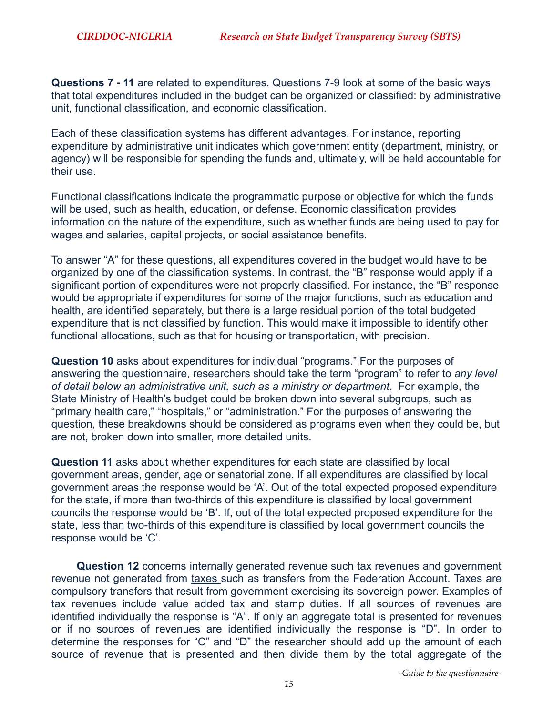**Questions 7 - 11** are related to expenditures. Questions 7-9 look at some of the basic ways that total expenditures included in the budget can be organized or classified: by administrative unit, functional classification, and economic classification.

Each of these classification systems has different advantages. For instance, reporting expenditure by administrative unit indicates which government entity (department, ministry, or agency) will be responsible for spending the funds and, ultimately, will be held accountable for their use.

Functional classifications indicate the programmatic purpose or objective for which the funds will be used, such as health, education, or defense. Economic classification provides information on the nature of the expenditure, such as whether funds are being used to pay for wages and salaries, capital projects, or social assistance benefits.

To answer "A" for these questions, all expenditures covered in the budget would have to be organized by one of the classification systems. In contrast, the "B" response would apply if a significant portion of expenditures were not properly classified. For instance, the "B" response would be appropriate if expenditures for some of the major functions, such as education and health, are identified separately, but there is a large residual portion of the total budgeted expenditure that is not classified by function. This would make it impossible to identify other functional allocations, such as that for housing or transportation, with precision.

**Question 10** asks about expenditures for individual "programs." For the purposes of answering the questionnaire, researchers should take the term "program" to refer to *any level of detail below an administrative unit, such as a ministry or department*. For example, the State Ministry of Health's budget could be broken down into several subgroups, such as "primary health care," "hospitals," or "administration." For the purposes of answering the question, these breakdowns should be considered as programs even when they could be, but are not, broken down into smaller, more detailed units.

**Question 11** asks about whether expenditures for each state are classified by local government areas, gender, age or senatorial zone. If all expenditures are classified by local government areas the response would be 'A'. Out of the total expected proposed expenditure for the state, if more than two-thirds of this expenditure is classified by local government councils the response would be 'B'. If, out of the total expected proposed expenditure for the state, less than two-thirds of this expenditure is classified by local government councils the response would be 'C'.

**Question 12** concerns internally generated revenue such tax revenues and [government](http://en.wikipedia.org/wiki/government_revenue) [revenue](http://en.wikipedia.org/wiki/government_revenue) not generated from [taxes](http://en.wikipedia.org/wiki/tax) such as transfers from the Federation Account. Taxes are compulsory transfers that result from government exercising its sovereign power. Examples of tax revenues include value added tax and stamp duties. If all sources of revenues are identified individually the response is "A". If only an aggregate total is presented for revenues or if no sources of revenues are identified individually the response is "D". In order to determine the responses for "C" and "D" the researcher should add up the amount of each source of revenue that is presented and then divide them by the total aggregate of the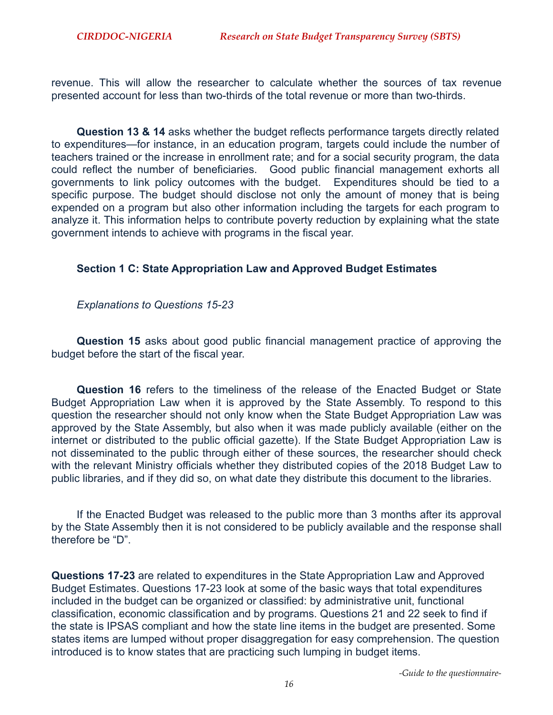revenue. This will allow the researcher to calculate whether the sources of tax revenue presented account for less than two-thirds of the total revenue or more than two-thirds.

**Question 13 & 14** asks whether the budget reflects performance targets directly related to expenditures—for instance, in an education program, targets could include the number of teachers trained or the increase in enrollment rate; and for a social security program, the data could reflect the number of beneficiaries. Good public financial management exhorts all governments to link policy outcomes with the budget. Expenditures should be tied to a specific purpose. The budget should disclose not only the amount of money that is being expended on a program but also other information including the targets for each program to analyze it. This information helps to contribute poverty reduction by explaining what the state government intends to achieve with programs in the fiscal year.

# **Section 1 C: State Appropriation Law and Approved Budget Estimates**

*Explanations to Questions 15-23* 

**Question 15** asks about good public financial management practice of approving the budget before the start of the fiscal year.

**Question 16** refers to the timeliness of the release of the Enacted Budget or State Budget Appropriation Law when it is approved by the State Assembly. To respond to this question the researcher should not only know when the State Budget Appropriation Law was approved by the State Assembly, but also when it was made publicly available (either on the internet or distributed to the public official gazette). If the State Budget Appropriation Law is not disseminated to the public through either of these sources, the researcher should check with the relevant Ministry officials whether they distributed copies of the 2018 Budget Law to public libraries, and if they did so, on what date they distribute this document to the libraries.

If the Enacted Budget was released to the public more than 3 months after its approval by the State Assembly then it is not considered to be publicly available and the response shall therefore be "D".

**Questions 17-23** are related to expenditures in the State Appropriation Law and Approved Budget Estimates. Questions 17-23 look at some of the basic ways that total expenditures included in the budget can be organized or classified: by administrative unit, functional classification, economic classification and by programs. Questions 21 and 22 seek to find if the state is IPSAS compliant and how the state line items in the budget are presented. Some states items are lumped without proper disaggregation for easy comprehension. The question introduced is to know states that are practicing such lumping in budget items.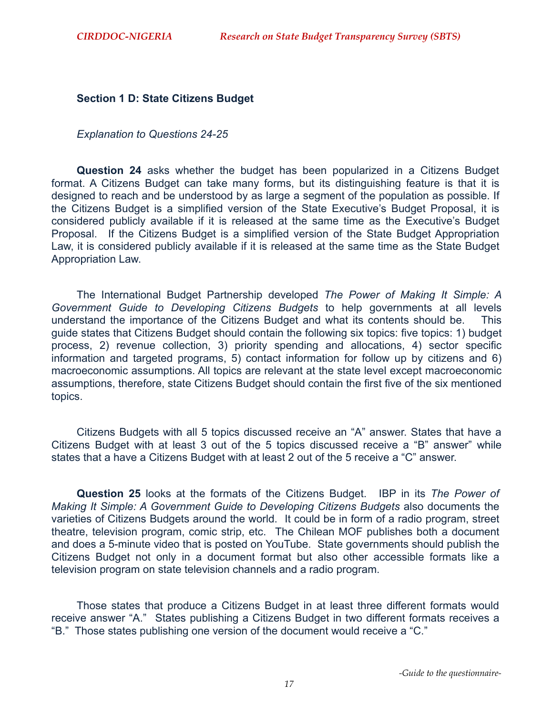# **Section 1 D: State Citizens Budget**

#### *Explanation to Questions 24-25*

**Question 24** asks whether the budget has been popularized in a Citizens Budget format. A Citizens Budget can take many forms, but its distinguishing feature is that it is designed to reach and be understood by as large a segment of the population as possible. If the Citizens Budget is a simplified version of the State Executive's Budget Proposal, it is considered publicly available if it is released at the same time as the Executive's Budget Proposal. If the Citizens Budget is a simplified version of the State Budget Appropriation Law, it is considered publicly available if it is released at the same time as the State Budget Appropriation Law.

The International Budget Partnership developed *The Power of Making It Simple: A Government Guide to Developing Citizens Budgets* to help governments at all levels understand the importance of the Citizens Budget and what its contents should be. This guide states that Citizens Budget should contain the following six topics: five topics: 1) budget process, 2) revenue collection, 3) priority spending and allocations, 4) sector specific information and targeted programs, 5) contact information for follow up by citizens and 6) macroeconomic assumptions. All topics are relevant at the state level except macroeconomic assumptions, therefore, state Citizens Budget should contain the first five of the six mentioned topics.

Citizens Budgets with all 5 topics discussed receive an "A" answer. States that have a Citizens Budget with at least 3 out of the 5 topics discussed receive a "B" answer" while states that a have a Citizens Budget with at least 2 out of the 5 receive a "C" answer.

**Question 25** looks at the formats of the Citizens Budget. IBP in its *The Power of Making It Simple: A Government Guide to Developing Citizens Budgets also documents the* varieties of Citizens Budgets around the world. It could be in form of a radio program, street theatre, television program, comic strip, etc. The Chilean MOF publishes both a document and does a 5-minute video that is posted on YouTube. State governments should publish the Citizens Budget not only in a document format but also other accessible formats like a television program on state television channels and a radio program.

Those states that produce a Citizens Budget in at least three different formats would receive answer "A." States publishing a Citizens Budget in two different formats receives a "B." Those states publishing one version of the document would receive a "C."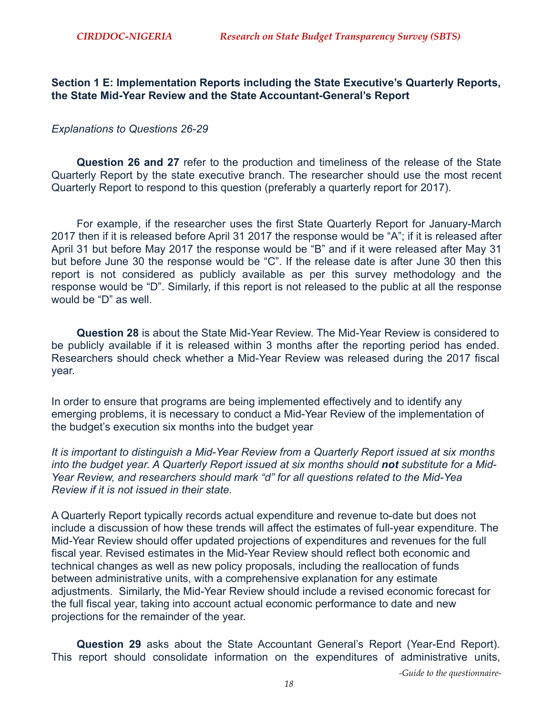# **Section 1 E: Implementation Reports including the State Executive's Quarterly Reports, the State Mid-Year Review and the State Accountant-General's Report**

#### *Explanations to Questions 26-29*

**Question 26 and 27** refer to the production and timeliness of the release of the State Quarterly Report by the state executive branch. The researcher should use the most recent Quarterly Report to respond to this question (preferably a quarterly report for 2017).

For example, if the researcher uses the first State Quarterly Report for January-March 2017 then if it is released before April 31 2017 the response would be "A"; if it is released after April 31 but before May 2017 the response would be "B" and if it were released after May 31 but before June 30 the response would be "C". If the release date is after June 30 then this report is not considered as publicly available as per this survey methodology and the response would be "D". Similarly, if this report is not released to the public at all the response would be "D" as well.

**Question 28** is about the State Mid-Year Review. The Mid-Year Review is considered to be publicly available if it is released within 3 months after the reporting period has ended. Researchers should check whether a Mid-Year Review was released during the 2017 fiscal year.

In order to ensure that programs are being implemented effectively and to identify any emerging problems, it is necessary to conduct a Mid-Year Review of the implementation of the budget's execution six months into the budget year

*It is important to distinguish a Mid-Year Review from a Quarterly Report issued at six months into the budget year. A Quarterly Report issued at six months should not substitute for a Mid-Year Review, and researchers should mark "d" for all questions related to the Mid-Yea Review if it is not issued in their state.* 

A Quarterly Report typically records actual expenditure and revenue to-date but does not include a discussion of how these trends will affect the estimates of full-year expenditure. The Mid-Year Review should offer updated projections of expenditures and revenues for the full fiscal year. Revised estimates in the Mid-Year Review should reflect both economic and technical changes as well as new policy proposals, including the reallocation of funds between administrative units, with a comprehensive explanation for any estimate adjustments. Similarly, the Mid-Year Review should include a revised economic forecast for the full fiscal year, taking into account actual economic performance to date and new projections for the remainder of the year.

**Question 29** asks about the State Accountant General's Report (Year-End Report). This report should consolidate information on the expenditures of administrative units,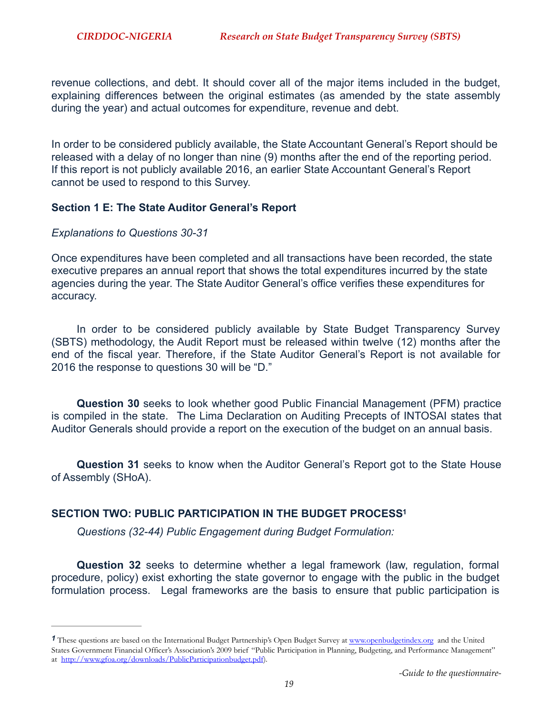revenue collections, and debt. It should cover all of the major items included in the budget, explaining differences between the original estimates (as amended by the state assembly during the year) and actual outcomes for expenditure, revenue and debt.

In order to be considered publicly available, the State Accountant General's Report should be released with a delay of no longer than nine (9) months after the end of the reporting period. If this report is not publicly available 2016, an earlier State Accountant General's Report cannot be used to respond to this Survey.

#### **Section 1 E: The State Auditor General's Report**

#### *Explanations to Questions 30-31*

Once expenditures have been completed and all transactions have been recorded, the state executive prepares an annual report that shows the total expenditures incurred by the state agencies during the year. The State Auditor General's office verifies these expenditures for accuracy.

In order to be considered publicly available by State Budget Transparency Survey (SBTS) methodology, the Audit Report must be released within twelve (12) months after the end of the fiscal year. Therefore, if the State Auditor General's Report is not available for 2016 the response to questions 30 will be "D."

**Question 30** seeks to look whether good Public Financial Management (PFM) practice is compiled in the state. The Lima Declaration on Auditing Precepts of INTOSAI states that Auditor Generals should provide a report on the execution of the budget on an annual basis.

**Question 31** seeks to know when the Auditor General's Report got to the State House of Assembly (SHoA).

#### **SECTION TWO: PUBLIC PARTICIPATION IN THE BUDGET PROCES[S1](#page-18-0)**

<span id="page-18-1"></span>*Questions (32-44) Public Engagement during Budget Formulation:* 

**Question 32** seeks to determine whether a legal framework (law, regulation, formal procedure, policy) exist exhorting the state governor to engage with the public in the budget formulation process. Legal frameworks are the basis to ensure that public participation is

<span id="page-18-0"></span>*[<sup>1</sup>](#page-18-1)* These questions are based on the International Budget Partnership's Open Budget Survey at [www.openbudgetindex.org](http://www.openbudgetindex.org) and the United States Government Financial Officer's Association's 2009 brief "Public Participation in Planning, Budgeting, and Performance Management" at [http://www.gfoa.org/downloads/PublicParticipationbudget.pdf](http://www.gfoa.org/downloads/publicparticipationbudget.pdf)).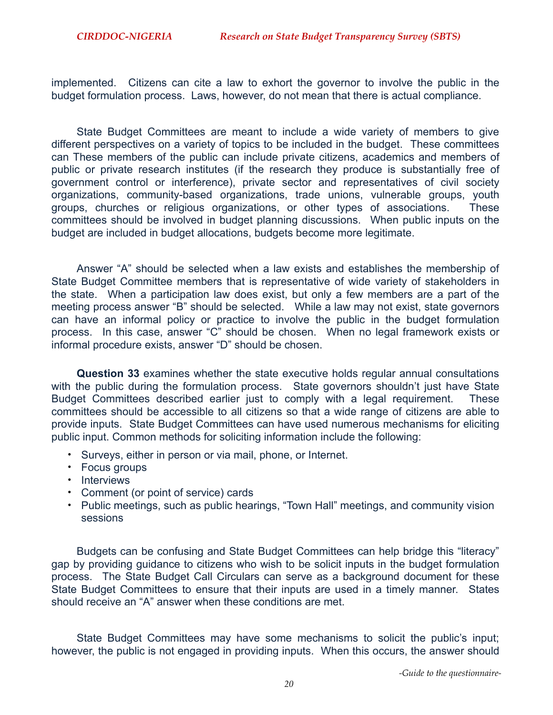implemented. Citizens can cite a law to exhort the governor to involve the public in the budget formulation process. Laws, however, do not mean that there is actual compliance.

State Budget Committees are meant to include a wide variety of members to give different perspectives on a variety of topics to be included in the budget. These committees can These members of the public can include private citizens, academics and members of public or private research institutes (if the research they produce is substantially free of government control or interference), private sector and representatives of civil society organizations, community-based organizations, trade unions, vulnerable groups, youth groups, churches or religious organizations, or other types of associations. These committees should be involved in budget planning discussions. When public inputs on the budget are included in budget allocations, budgets become more legitimate.

Answer "A" should be selected when a law exists and establishes the membership of State Budget Committee members that is representative of wide variety of stakeholders in the state. When a participation law does exist, but only a few members are a part of the meeting process answer "B" should be selected. While a law may not exist, state governors can have an informal policy or practice to involve the public in the budget formulation process. In this case, answer "C" should be chosen. When no legal framework exists or informal procedure exists, answer "D" should be chosen.

**Question 33** examines whether the state executive holds regular annual consultations with the public during the formulation process. State governors shouldn't just have State Budget Committees described earlier just to comply with a legal requirement. These committees should be accessible to all citizens so that a wide range of citizens are able to provide inputs. State Budget Committees can have used numerous mechanisms for eliciting public input. Common methods for soliciting information include the following:

- Surveys, either in person or via mail, phone, or Internet.
- Focus groups
- Interviews
- Comment (or point of service) cards
- Public meetings, such as public hearings, "Town Hall" meetings, and community vision sessions

Budgets can be confusing and State Budget Committees can help bridge this "literacy" gap by providing guidance to citizens who wish to be solicit inputs in the budget formulation process. The State Budget Call Circulars can serve as a background document for these State Budget Committees to ensure that their inputs are used in a timely manner. States should receive an "A" answer when these conditions are met.

State Budget Committees may have some mechanisms to solicit the public's input; however, the public is not engaged in providing inputs. When this occurs, the answer should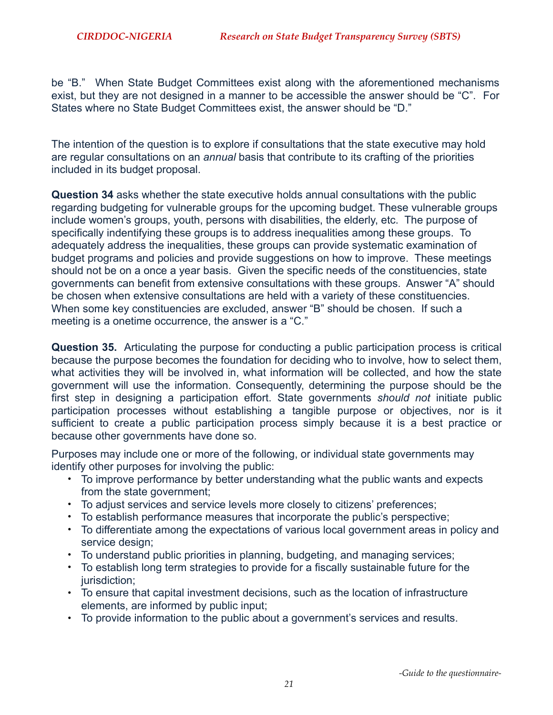be "B." When State Budget Committees exist along with the aforementioned mechanisms exist, but they are not designed in a manner to be accessible the answer should be "C". For States where no State Budget Committees exist, the answer should be "D."

The intention of the question is to explore if consultations that the state executive may hold are regular consultations on an *annual* basis that contribute to its crafting of the priorities included in its budget proposal.

**Question 34** asks whether the state executive holds annual consultations with the public regarding budgeting for vulnerable groups for the upcoming budget. These vulnerable groups include women's groups, youth, persons with disabilities, the elderly, etc. The purpose of specifically indentifying these groups is to address inequalities among these groups. To adequately address the inequalities, these groups can provide systematic examination of budget programs and policies and provide suggestions on how to improve. These meetings should not be on a once a year basis. Given the specific needs of the constituencies, state governments can benefit from extensive consultations with these groups. Answer "A" should be chosen when extensive consultations are held with a variety of these constituencies. When some key constituencies are excluded, answer "B" should be chosen. If such a meeting is a onetime occurrence, the answer is a "C."

**Question 35.** Articulating the purpose for conducting a public participation process is critical because the purpose becomes the foundation for deciding who to involve, how to select them, what activities they will be involved in, what information will be collected, and how the state government will use the information. Consequently, determining the purpose should be the first step in designing a participation effort. State governments *should not* initiate public participation processes without establishing a tangible purpose or objectives, nor is it sufficient to create a public participation process simply because it is a best practice or because other governments have done so.

Purposes may include one or more of the following, or individual state governments may identify other purposes for involving the public:

- To improve performance by better understanding what the public wants and expects from the state government;
- To adjust services and service levels more closely to citizens' preferences;
- To establish performance measures that incorporate the public's perspective;
- To differentiate among the expectations of various local government areas in policy and service design;
- To understand public priorities in planning, budgeting, and managing services;
- To establish long term strategies to provide for a fiscally sustainable future for the jurisdiction;
- To ensure that capital investment decisions, such as the location of infrastructure elements, are informed by public input;
- To provide information to the public about a government's services and results.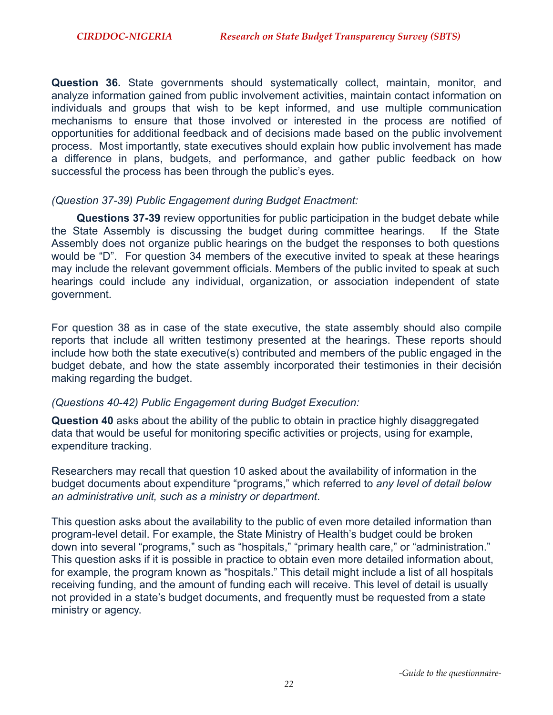**Question 36.** State governments should systematically collect, maintain, monitor, and analyze information gained from public involvement activities, maintain contact information on individuals and groups that wish to be kept informed, and use multiple communication mechanisms to ensure that those involved or interested in the process are notified of opportunities for additional feedback and of decisions made based on the public involvement process. Most importantly, state executives should explain how public involvement has made a difference in plans, budgets, and performance, and gather public feedback on how successful the process has been through the public's eyes.

#### *(Question 37-39) Public Engagement during Budget Enactment:*

**Questions 37-39** review opportunities for public participation in the budget debate while the State Assembly is discussing the budget during committee hearings. If the State Assembly does not organize public hearings on the budget the responses to both questions would be "D". For question 34 members of the executive invited to speak at these hearings may include the relevant government officials. Members of the public invited to speak at such hearings could include any individual, organization, or association independent of state government.

For question 38 as in case of the state executive, the state assembly should also compile reports that include all written testimony presented at the hearings. These reports should include how both the state executive(s) contributed and members of the public engaged in the budget debate, and how the state assembly incorporated their testimonies in their decisión making regarding the budget.

# *(Questions 40-42) Public Engagement during Budget Execution:*

**Question 40** asks about the ability of the public to obtain in practice highly disaggregated data that would be useful for monitoring specific activities or projects, using for example, expenditure tracking.

Researchers may recall that question 10 asked about the availability of information in the budget documents about expenditure "programs," which referred to *any level of detail below an administrative unit, such as a ministry or department*.

This question asks about the availability to the public of even more detailed information than program-level detail. For example, the State Ministry of Health's budget could be broken down into several "programs," such as "hospitals," "primary health care," or "administration." This question asks if it is possible in practice to obtain even more detailed information about, for example, the program known as "hospitals." This detail might include a list of all hospitals receiving funding, and the amount of funding each will receive. This level of detail is usually not provided in a state's budget documents, and frequently must be requested from a state ministry or agency.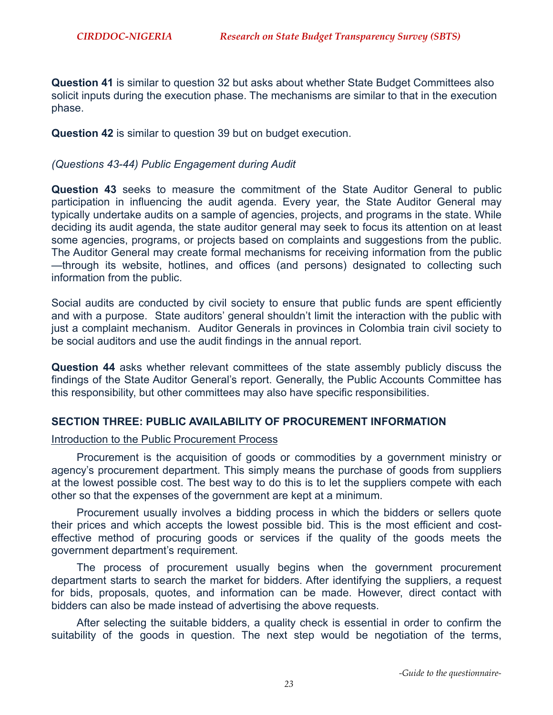**Question 41** is similar to question 32 but asks about whether State Budget Committees also solicit inputs during the execution phase. The mechanisms are similar to that in the execution phase.

**Question 42** is similar to question 39 but on budget execution.

## *(Questions 43-44) Public Engagement during Audit*

**Question 43** seeks to measure the commitment of the State Auditor General to public participation in influencing the audit agenda. Every year, the State Auditor General may typically undertake audits on a sample of agencies, projects, and programs in the state. While deciding its audit agenda, the state auditor general may seek to focus its attention on at least some agencies, programs, or projects based on complaints and suggestions from the public. The Auditor General may create formal mechanisms for receiving information from the public —through its website, hotlines, and offices (and persons) designated to collecting such information from the public.

Social audits are conducted by civil society to ensure that public funds are spent efficiently and with a purpose. State auditors' general shouldn't limit the interaction with the public with just a complaint mechanism. Auditor Generals in provinces in Colombia train civil society to be social auditors and use the audit findings in the annual report.

**Question 44** asks whether relevant committees of the state assembly publicly discuss the findings of the State Auditor General's report. Generally, the Public Accounts Committee has this responsibility, but other committees may also have specific responsibilities.

# **SECTION THREE: PUBLIC AVAILABILITY OF PROCUREMENT INFORMATION**

#### Introduction to the Public Procurement Process

Procurement is the acquisition of goods or commodities by a government ministry or agency's procurement department. This simply means the purchase of goods from suppliers at the lowest possible cost. The best way to do this is to let the suppliers compete with each other so that the expenses of the government are kept at a minimum.

Procurement usually involves a bidding process in which the bidders or sellers quote their prices and which accepts the lowest possible bid. This is the most efficient and costeffective method of procuring goods or services if the quality of the goods meets the government department's requirement.

The process of procurement usually begins when the government procurement department starts to search the market for bidders. After identifying the suppliers, a request for bids, proposals, quotes, and information can be made. However, direct contact with bidders can also be made instead of advertising the above requests.

After selecting the suitable bidders, a quality check is essential in order to confirm the suitability of the goods in question. The next step would be negotiation of the terms,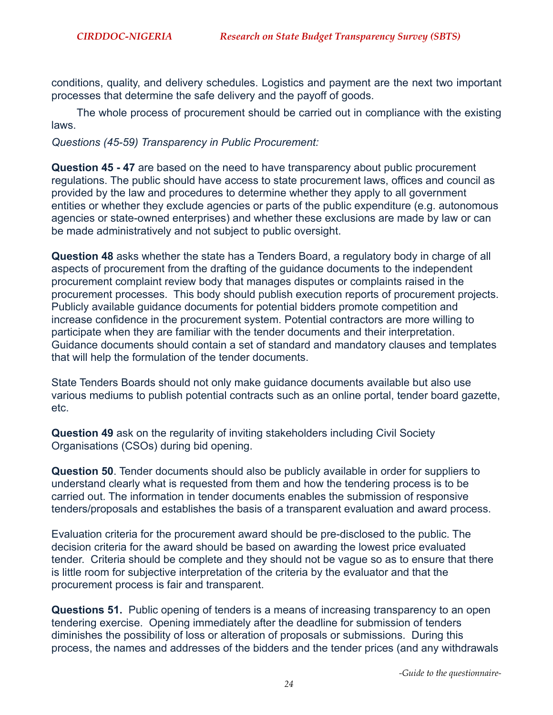conditions, quality, and delivery schedules. Logistics and payment are the next two important processes that determine the safe delivery and the payoff of goods.

The whole process of procurement should be carried out in compliance with the existing laws.

*Questions (45-59) Transparency in Public Procurement:* 

**Question 45 - 47** are based on the need to have transparency about public procurement regulations. The public should have access to state procurement laws, offices and council as provided by the law and procedures to determine whether they apply to all government entities or whether they exclude agencies or parts of the public expenditure (e.g. autonomous agencies or state-owned enterprises) and whether these exclusions are made by law or can be made administratively and not subject to public oversight.

**Question 48** asks whether the state has a Tenders Board, a regulatory body in charge of all aspects of procurement from the drafting of the guidance documents to the independent procurement complaint review body that manages disputes or complaints raised in the procurement processes. This body should publish execution reports of procurement projects. Publicly available guidance documents for potential bidders promote competition and increase confidence in the procurement system. Potential contractors are more willing to participate when they are familiar with the tender documents and their interpretation. Guidance documents should contain a set of standard and mandatory clauses and templates that will help the formulation of the tender documents.

State Tenders Boards should not only make guidance documents available but also use various mediums to publish potential contracts such as an online portal, tender board gazette, etc.

**Question 49** ask on the regularity of inviting stakeholders including Civil Society Organisations (CSOs) during bid opening.

**Question 50**. Tender documents should also be publicly available in order for suppliers to understand clearly what is requested from them and how the tendering process is to be carried out. The information in tender documents enables the submission of responsive tenders/proposals and establishes the basis of a transparent evaluation and award process.

Evaluation criteria for the procurement award should be pre-disclosed to the public. The decision criteria for the award should be based on awarding the lowest price evaluated tender. Criteria should be complete and they should not be vague so as to ensure that there is little room for subjective interpretation of the criteria by the evaluator and that the procurement process is fair and transparent.

**Questions 51.** Public opening of tenders is a means of increasing transparency to an open tendering exercise.Opening immediately after the deadline for submission of tenders diminishes the possibility of loss or alteration of proposals or submissions.During this process, the names and addresses of the bidders and the tender prices (and any withdrawals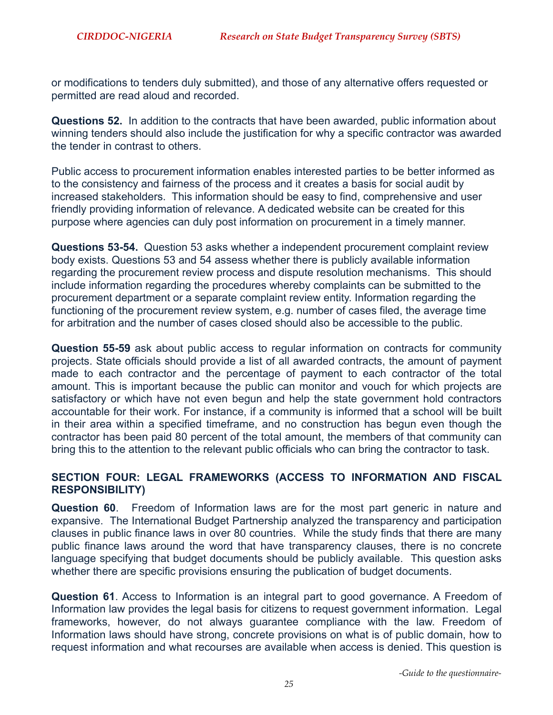or modifications to tenders duly submitted), and those of any alternative offers requested or permitted are read aloud and recorded.

**Questions 52.** In addition to the contracts that have been awarded, public information about winning tenders should also include the justification for why a specific contractor was awarded the tender in contrast to others.

Public access to procurement information enables interested parties to be better informed as to the consistency and fairness of the process and it creates a basis for social audit by increased stakeholders. This information should be easy to find, comprehensive and user friendly providing information of relevance. A dedicated website can be created for this purpose where agencies can duly post information on procurement in a timely manner.

**Questions 53-54.** Question 53 asks whether a independent procurement complaint review body exists. Questions 53 and 54 assess whether there is publicly available information regarding the procurement review process and dispute resolution mechanisms. This should include information regarding the procedures whereby complaints can be submitted to the procurement department or a separate complaint review entity. Information regarding the functioning of the procurement review system, e.g. number of cases filed, the average time for arbitration and the number of cases closed should also be accessible to the public.

**Question 55-59** ask about public access to regular information on contracts for community projects. State officials should provide a list of all awarded contracts, the amount of payment made to each contractor and the percentage of payment to each contractor of the total amount. This is important because the public can monitor and vouch for which projects are satisfactory or which have not even begun and help the state government hold contractors accountable for their work. For instance, if a community is informed that a school will be built in their area within a specified timeframe, and no construction has begun even though the contractor has been paid 80 percent of the total amount, the members of that community can bring this to the attention to the relevant public officials who can bring the contractor to task.

# **SECTION FOUR: LEGAL FRAMEWORKS (ACCESS TO INFORMATION AND FISCAL RESPONSIBILITY)**

**Question 60**. Freedom of Information laws are for the most part generic in nature and expansive. The International Budget Partnership analyzed the transparency and participation clauses in public finance laws in over 80 countries. While the study finds that there are many public finance laws around the word that have transparency clauses, there is no concrete language specifying that budget documents should be publicly available. This question asks whether there are specific provisions ensuring the publication of budget documents.

**Question 61**. Access to Information is an integral part to good governance. A Freedom of Information law provides the legal basis for citizens to request government information. Legal frameworks, however, do not always guarantee compliance with the law. Freedom of Information laws should have strong, concrete provisions on what is of public domain, how to request information and what recourses are available when access is denied. This question is